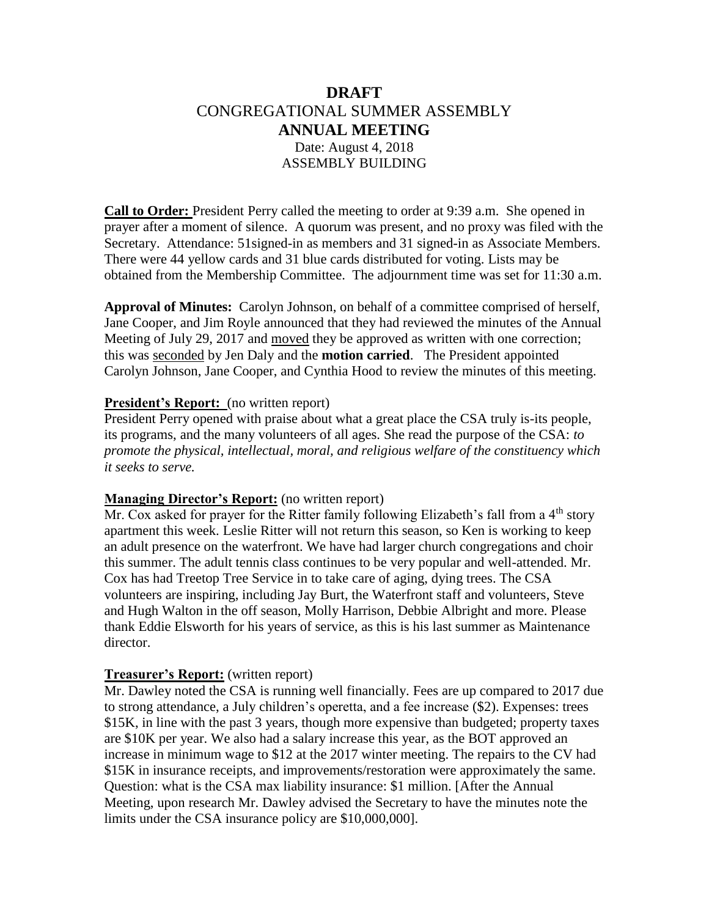# **DRAFT** CONGREGATIONAL SUMMER ASSEMBLY **ANNUAL MEETING** Date: August 4, 2018 ASSEMBLY BUILDING

**Call to Order:** President Perry called the meeting to order at 9:39 a.m. She opened in prayer after a moment of silence. A quorum was present, and no proxy was filed with the Secretary. Attendance: 51signed-in as members and 31 signed-in as Associate Members. There were 44 yellow cards and 31 blue cards distributed for voting. Lists may be obtained from the Membership Committee. The adjournment time was set for 11:30 a.m.

**Approval of Minutes:** Carolyn Johnson, on behalf of a committee comprised of herself, Jane Cooper, and Jim Royle announced that they had reviewed the minutes of the Annual Meeting of July 29, 2017 and moved they be approved as written with one correction; this was seconded by Jen Daly and the **motion carried**. The President appointed Carolyn Johnson, Jane Cooper, and Cynthia Hood to review the minutes of this meeting.

#### **President's Report:** (no written report)

President Perry opened with praise about what a great place the CSA truly is-its people, its programs, and the many volunteers of all ages. She read the purpose of the CSA: *to promote the physical, intellectual, moral, and religious welfare of the constituency which it seeks to serve.*

#### **Managing Director's Report:** (no written report)

Mr. Cox asked for prayer for the Ritter family following Elizabeth's fall from a 4<sup>th</sup> story apartment this week. Leslie Ritter will not return this season, so Ken is working to keep an adult presence on the waterfront. We have had larger church congregations and choir this summer. The adult tennis class continues to be very popular and well-attended. Mr. Cox has had Treetop Tree Service in to take care of aging, dying trees. The CSA volunteers are inspiring, including Jay Burt, the Waterfront staff and volunteers, Steve and Hugh Walton in the off season, Molly Harrison, Debbie Albright and more. Please thank Eddie Elsworth for his years of service, as this is his last summer as Maintenance director.

#### **Treasurer's Report:** (written report)

Mr. Dawley noted the CSA is running well financially. Fees are up compared to 2017 due to strong attendance, a July children's operetta, and a fee increase (\$2). Expenses: trees \$15K, in line with the past 3 years, though more expensive than budgeted; property taxes are \$10K per year. We also had a salary increase this year, as the BOT approved an increase in minimum wage to \$12 at the 2017 winter meeting. The repairs to the CV had \$15K in insurance receipts, and improvements/restoration were approximately the same. Question: what is the CSA max liability insurance: \$1 million. [After the Annual Meeting, upon research Mr. Dawley advised the Secretary to have the minutes note the limits under the CSA insurance policy are \$10,000,000].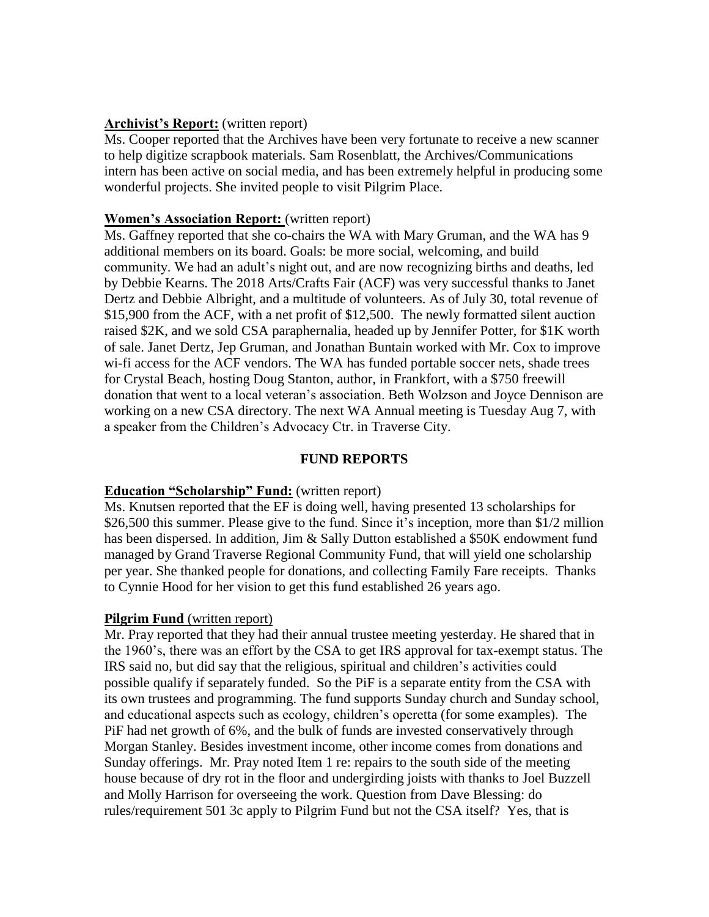#### **Archivist's Report:** (written report)

Ms. Cooper reported that the Archives have been very fortunate to receive a new scanner to help digitize scrapbook materials. Sam Rosenblatt, the Archives/Communications intern has been active on social media, and has been extremely helpful in producing some wonderful projects. She invited people to visit Pilgrim Place.

#### **Women's Association Report:** (written report)

Ms. Gaffney reported that she co-chairs the WA with Mary Gruman, and the WA has 9 additional members on its board. Goals: be more social, welcoming, and build community. We had an adult's night out, and are now recognizing births and deaths, led by Debbie Kearns. The 2018 Arts/Crafts Fair (ACF) was very successful thanks to Janet Dertz and Debbie Albright, and a multitude of volunteers. As of July 30, total revenue of \$15,900 from the ACF, with a net profit of \$12,500. The newly formatted silent auction raised \$2K, and we sold CSA paraphernalia, headed up by Jennifer Potter, for \$1K worth of sale. Janet Dertz, Jep Gruman, and Jonathan Buntain worked with Mr. Cox to improve wi-fi access for the ACF vendors. The WA has funded portable soccer nets, shade trees for Crystal Beach, hosting Doug Stanton, author, in Frankfort, with a \$750 freewill donation that went to a local veteran's association. Beth Wolzson and Joyce Dennison are working on a new CSA directory. The next WA Annual meeting is Tuesday Aug 7, with a speaker from the Children's Advocacy Ctr. in Traverse City.

#### **FUND REPORTS**

## **Education "Scholarship" Fund:** (written report)

Ms. Knutsen reported that the EF is doing well, having presented 13 scholarships for \$26,500 this summer. Please give to the fund. Since it's inception, more than \$1/2 million has been dispersed. In addition, Jim & Sally Dutton established a \$50K endowment fund managed by Grand Traverse Regional Community Fund, that will yield one scholarship per year. She thanked people for donations, and collecting Family Fare receipts. Thanks to Cynnie Hood for her vision to get this fund established 26 years ago.

#### **Pilgrim Fund** (written report)

Mr. Pray reported that they had their annual trustee meeting yesterday. He shared that in the 1960's, there was an effort by the CSA to get IRS approval for tax-exempt status. The IRS said no, but did say that the religious, spiritual and children's activities could possible qualify if separately funded. So the PiF is a separate entity from the CSA with its own trustees and programming. The fund supports Sunday church and Sunday school, and educational aspects such as ecology, children's operetta (for some examples). The PiF had net growth of 6%, and the bulk of funds are invested conservatively through Morgan Stanley. Besides investment income, other income comes from donations and Sunday offerings. Mr. Pray noted Item 1 re: repairs to the south side of the meeting house because of dry rot in the floor and undergirding joists with thanks to Joel Buzzell and Molly Harrison for overseeing the work. Question from Dave Blessing: do rules/requirement 501 3c apply to Pilgrim Fund but not the CSA itself? Yes, that is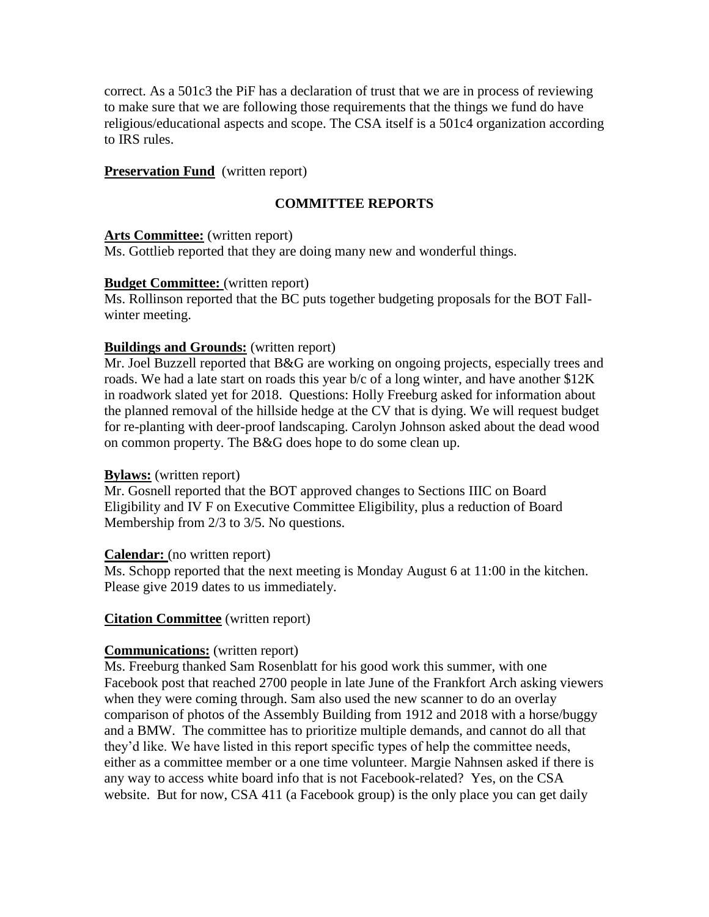correct. As a 501c3 the PiF has a declaration of trust that we are in process of reviewing to make sure that we are following those requirements that the things we fund do have religious/educational aspects and scope. The CSA itself is a 501c4 organization according to IRS rules.

#### **Preservation Fund** (written report)

### **COMMITTEE REPORTS**

#### **Arts Committee:** (written report)

Ms. Gottlieb reported that they are doing many new and wonderful things.

#### **Budget Committee:** (written report)

Ms. Rollinson reported that the BC puts together budgeting proposals for the BOT Fallwinter meeting.

#### **Buildings and Grounds:** (written report)

Mr. Joel Buzzell reported that B&G are working on ongoing projects, especially trees and roads. We had a late start on roads this year b/c of a long winter, and have another \$12K in roadwork slated yet for 2018. Questions: Holly Freeburg asked for information about the planned removal of the hillside hedge at the CV that is dying. We will request budget for re-planting with deer-proof landscaping. Carolyn Johnson asked about the dead wood on common property. The B&G does hope to do some clean up.

#### **Bylaws:** (written report)

Mr. Gosnell reported that the BOT approved changes to Sections IIIC on Board Eligibility and IV F on Executive Committee Eligibility, plus a reduction of Board Membership from 2/3 to 3/5. No questions.

#### **Calendar:** (no written report)

Ms. Schopp reported that the next meeting is Monday August 6 at 11:00 in the kitchen. Please give 2019 dates to us immediately.

#### **Citation Committee** (written report)

#### **Communications:** (written report)

Ms. Freeburg thanked Sam Rosenblatt for his good work this summer, with one Facebook post that reached 2700 people in late June of the Frankfort Arch asking viewers when they were coming through. Sam also used the new scanner to do an overlay comparison of photos of the Assembly Building from 1912 and 2018 with a horse/buggy and a BMW. The committee has to prioritize multiple demands, and cannot do all that they'd like. We have listed in this report specific types of help the committee needs, either as a committee member or a one time volunteer. Margie Nahnsen asked if there is any way to access white board info that is not Facebook-related? Yes, on the CSA website. But for now, CSA 411 (a Facebook group) is the only place you can get daily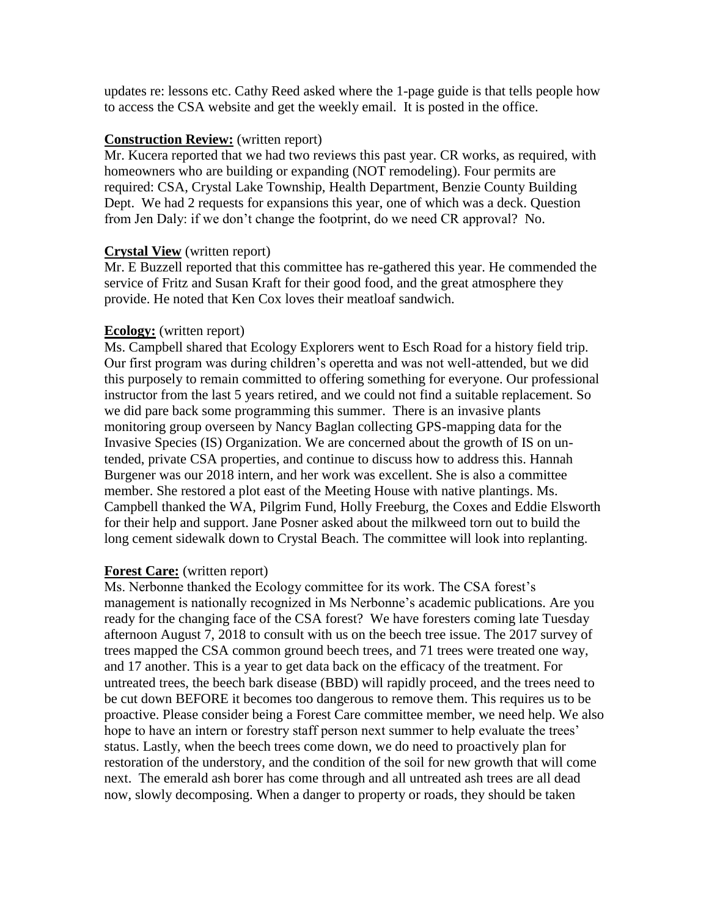updates re: lessons etc. Cathy Reed asked where the 1-page guide is that tells people how to access the CSA website and get the weekly email. It is posted in the office.

#### **Construction Review:** (written report)

Mr. Kucera reported that we had two reviews this past year. CR works, as required, with homeowners who are building or expanding (NOT remodeling). Four permits are required: CSA, Crystal Lake Township, Health Department, Benzie County Building Dept. We had 2 requests for expansions this year, one of which was a deck. Question from Jen Daly: if we don't change the footprint, do we need CR approval? No.

### **Crystal View** (written report)

Mr. E Buzzell reported that this committee has re-gathered this year. He commended the service of Fritz and Susan Kraft for their good food, and the great atmosphere they provide. He noted that Ken Cox loves their meatloaf sandwich.

### **Ecology:** (written report)

Ms. Campbell shared that Ecology Explorers went to Esch Road for a history field trip. Our first program was during children's operetta and was not well-attended, but we did this purposely to remain committed to offering something for everyone. Our professional instructor from the last 5 years retired, and we could not find a suitable replacement. So we did pare back some programming this summer. There is an invasive plants monitoring group overseen by Nancy Baglan collecting GPS-mapping data for the Invasive Species (IS) Organization. We are concerned about the growth of IS on untended, private CSA properties, and continue to discuss how to address this. Hannah Burgener was our 2018 intern, and her work was excellent. She is also a committee member. She restored a plot east of the Meeting House with native plantings. Ms. Campbell thanked the WA, Pilgrim Fund, Holly Freeburg, the Coxes and Eddie Elsworth for their help and support. Jane Posner asked about the milkweed torn out to build the long cement sidewalk down to Crystal Beach. The committee will look into replanting.

## **Forest Care:** (written report)

Ms. Nerbonne thanked the Ecology committee for its work. The CSA forest's management is nationally recognized in Ms Nerbonne's academic publications. Are you ready for the changing face of the CSA forest? We have foresters coming late Tuesday afternoon August 7, 2018 to consult with us on the beech tree issue. The 2017 survey of trees mapped the CSA common ground beech trees, and 71 trees were treated one way, and 17 another. This is a year to get data back on the efficacy of the treatment. For untreated trees, the beech bark disease (BBD) will rapidly proceed, and the trees need to be cut down BEFORE it becomes too dangerous to remove them. This requires us to be proactive. Please consider being a Forest Care committee member, we need help. We also hope to have an intern or forestry staff person next summer to help evaluate the trees' status. Lastly, when the beech trees come down, we do need to proactively plan for restoration of the understory, and the condition of the soil for new growth that will come next. The emerald ash borer has come through and all untreated ash trees are all dead now, slowly decomposing. When a danger to property or roads, they should be taken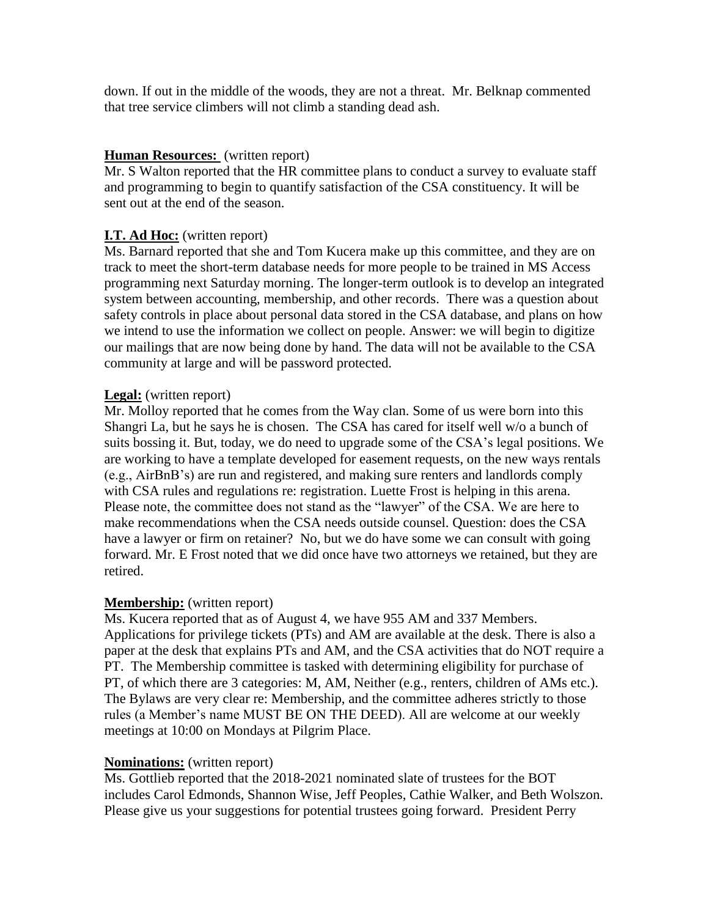down. If out in the middle of the woods, they are not a threat. Mr. Belknap commented that tree service climbers will not climb a standing dead ash.

### **Human Resources:** (written report)

Mr. S Walton reported that the HR committee plans to conduct a survey to evaluate staff and programming to begin to quantify satisfaction of the CSA constituency. It will be sent out at the end of the season.

#### **I.T. Ad Hoc:** (written report)

Ms. Barnard reported that she and Tom Kucera make up this committee, and they are on track to meet the short-term database needs for more people to be trained in MS Access programming next Saturday morning. The longer-term outlook is to develop an integrated system between accounting, membership, and other records. There was a question about safety controls in place about personal data stored in the CSA database, and plans on how we intend to use the information we collect on people. Answer: we will begin to digitize our mailings that are now being done by hand. The data will not be available to the CSA community at large and will be password protected.

### **Legal:** (written report)

Mr. Molloy reported that he comes from the Way clan. Some of us were born into this Shangri La, but he says he is chosen. The CSA has cared for itself well w/o a bunch of suits bossing it. But, today, we do need to upgrade some of the CSA's legal positions. We are working to have a template developed for easement requests, on the new ways rentals (e.g., AirBnB's) are run and registered, and making sure renters and landlords comply with CSA rules and regulations re: registration. Luette Frost is helping in this arena. Please note, the committee does not stand as the "lawyer" of the CSA. We are here to make recommendations when the CSA needs outside counsel. Question: does the CSA have a lawyer or firm on retainer? No, but we do have some we can consult with going forward. Mr. E Frost noted that we did once have two attorneys we retained, but they are retired.

#### **Membership:** (written report)

Ms. Kucera reported that as of August 4, we have 955 AM and 337 Members. Applications for privilege tickets (PTs) and AM are available at the desk. There is also a paper at the desk that explains PTs and AM, and the CSA activities that do NOT require a PT. The Membership committee is tasked with determining eligibility for purchase of PT, of which there are 3 categories: M, AM, Neither (e.g., renters, children of AMs etc.). The Bylaws are very clear re: Membership, and the committee adheres strictly to those rules (a Member's name MUST BE ON THE DEED). All are welcome at our weekly meetings at 10:00 on Mondays at Pilgrim Place.

#### **Nominations:** (written report)

Ms. Gottlieb reported that the 2018-2021 nominated slate of trustees for the BOT includes Carol Edmonds, Shannon Wise, Jeff Peoples, Cathie Walker, and Beth Wolszon. Please give us your suggestions for potential trustees going forward. President Perry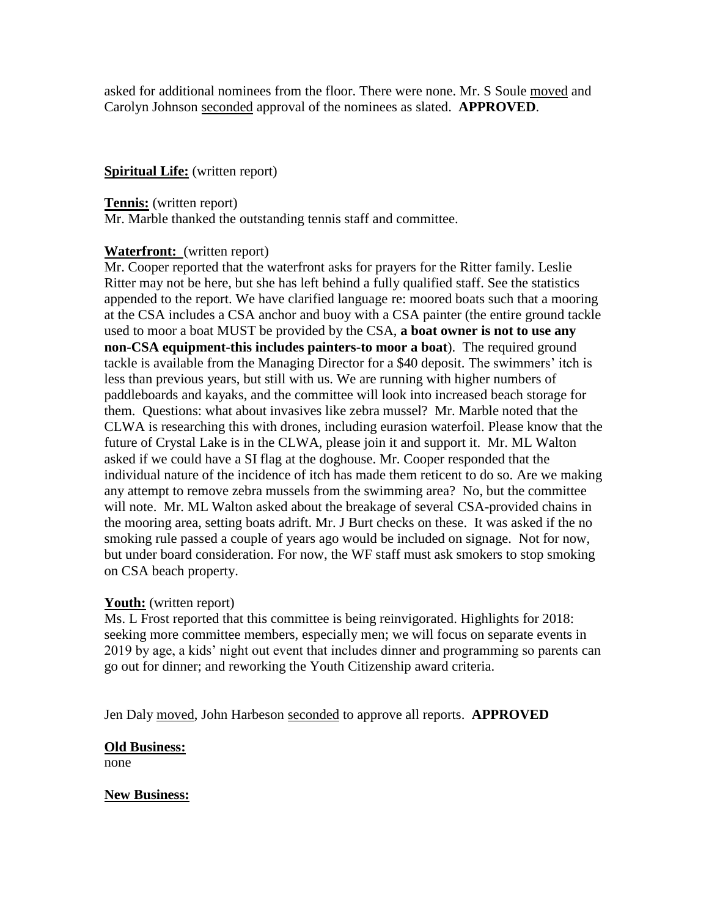asked for additional nominees from the floor. There were none. Mr. S Soule moved and Carolyn Johnson seconded approval of the nominees as slated. **APPROVED**.

### **Spiritual Life:** (written report)

**Tennis:** (written report)

Mr. Marble thanked the outstanding tennis staff and committee.

### **Waterfront:** (written report)

Mr. Cooper reported that the waterfront asks for prayers for the Ritter family. Leslie Ritter may not be here, but she has left behind a fully qualified staff. See the statistics appended to the report. We have clarified language re: moored boats such that a mooring at the CSA includes a CSA anchor and buoy with a CSA painter (the entire ground tackle used to moor a boat MUST be provided by the CSA, **a boat owner is not to use any non-CSA equipment-this includes painters-to moor a boat**). The required ground tackle is available from the Managing Director for a \$40 deposit. The swimmers' itch is less than previous years, but still with us. We are running with higher numbers of paddleboards and kayaks, and the committee will look into increased beach storage for them. Questions: what about invasives like zebra mussel? Mr. Marble noted that the CLWA is researching this with drones, including eurasion waterfoil. Please know that the future of Crystal Lake is in the CLWA, please join it and support it. Mr. ML Walton asked if we could have a SI flag at the doghouse. Mr. Cooper responded that the individual nature of the incidence of itch has made them reticent to do so. Are we making any attempt to remove zebra mussels from the swimming area? No, but the committee will note. Mr. ML Walton asked about the breakage of several CSA-provided chains in the mooring area, setting boats adrift. Mr. J Burt checks on these. It was asked if the no smoking rule passed a couple of years ago would be included on signage. Not for now, but under board consideration. For now, the WF staff must ask smokers to stop smoking on CSA beach property.

## **Youth:** (written report)

Ms. L Frost reported that this committee is being reinvigorated. Highlights for 2018: seeking more committee members, especially men; we will focus on separate events in 2019 by age, a kids' night out event that includes dinner and programming so parents can go out for dinner; and reworking the Youth Citizenship award criteria.

Jen Daly moved, John Harbeson seconded to approve all reports. **APPROVED**

## **Old Business:**

none

## **New Business:**